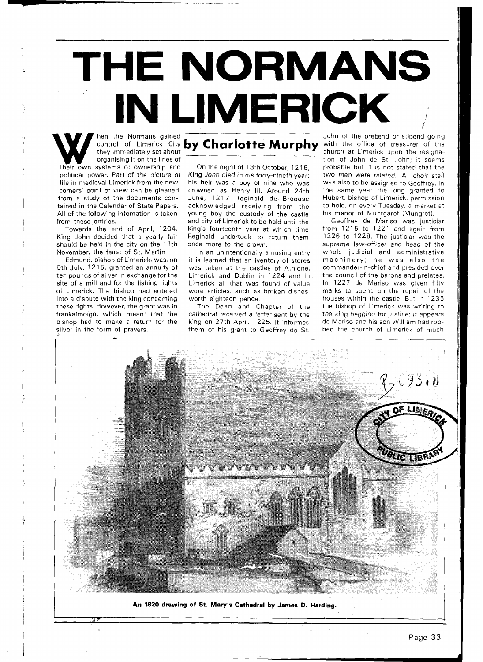## **THE NORMANS IN LIMERICK** Then the Normans gained John of the prebend or stipend going<br>
Then the Normans gained **Charlotte Murphy** with the office of treasurer of the<br>
they immediately set about

organising it on the lines of their own systems of ownership and political power. Part of the picture of life in medieval Limerick from the new comers' point of view can be gleaned from a study of the documents contained in the Calendar of State Papers. All of the following infomation is taken from these entries.

Towards the end of April, 1204, King John decided that a yearly fair should be held in the city on the 11th November, the feast of St. Martin.

Edmund, bishop of Limerick, was, on 5th July, 1215, granted an annuity of ten pounds of silver in exchange for the site of a mill and for the fishing rights of Limerick. The bishop had entered into a dispute with the king concerning these rights. However, the grant was in frankalmoign, which meant that the bishop had to make a return for the silver in the form of prayers.

**m** 

On the night of 18th October, 12 16, King John died in his forty-nineth year; his heir was a boy of nine who was crowned as Henry Ill. Around 24th June, 1217 Reginald de Breouse acknowledged receiving from the young boy the custody of the castle and city of Limerick to be held until the king's fourteenth year at which time Reginald undertook to return them once more to the crown.

In an unintentionally amusing entry it is learned that an iventory of stores was taken at the castles of Athlone, Limerick and Dublin in 1224 and in Limerick all that was found of value were articles, such as broken dishes, worth eighteen pence.

The Dean and Chapter of the cathedral received a letter sent by the king on 27th April, 1225. It informed them of his grant to Geoffrey de St.

church at Limerick upon the resignation of John de St. John; it seems probable but it is not stated that the two men were related. A choir stall was also to be assigned to Geoffrey. In the same year the king granted to Hubert, bishop of Limerick, permission to hold, on every Tuesday, a market at his manor of Muntgaret (Mungret).

Geoffrey de Mariso was justiciar from  $1215$  to  $1221$  and again from 1226 to 1228. The justiciar was the supreme law-officer and head of the whole judicial and administrative machinery; he was also the commander-in-chief and presided over the council of the barons and prelates. In 1227 de Mariso was given fifty marks to spend on the repair of the houses within the castle. But in 1235 the bishop of Limerick was writing to the king begging for justice; it appears de Mariso and his son William had robbed the church of Limerick of much



**An 1820 drawing of St. Mary's Cathedral by James D. Harding.**